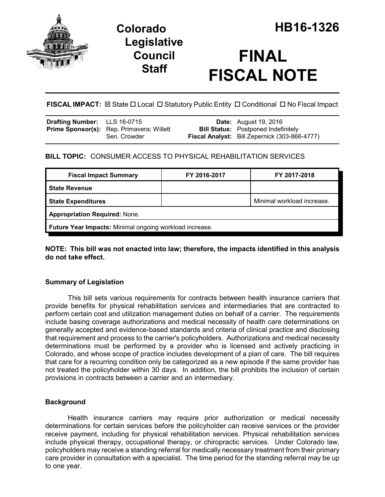



# **FINAL FISCAL NOTE**

**FISCAL IMPACT:**  $\boxtimes$  State  $\Box$  Local  $\Box$  Statutory Public Entity  $\Box$  Conditional  $\Box$  No Fiscal Impact

| Drafting Number: LLS 16-0715 |                                                  | <b>Date:</b> August 19, 2016                         |
|------------------------------|--------------------------------------------------|------------------------------------------------------|
|                              | <b>Prime Sponsor(s):</b> Rep. Primavera; Willett | <b>Bill Status:</b> Postponed Indefinitely           |
|                              | Sen. Crowder                                     | <b>Fiscal Analyst:</b> Bill Zepernick (303-866-4777) |

## **BILL TOPIC:** CONSUMER ACCESS TO PHYSICAL REHABILITATION SERVICES

| <b>Fiscal Impact Summary</b>                            | FY 2016-2017 | FY 2017-2018               |  |  |  |
|---------------------------------------------------------|--------------|----------------------------|--|--|--|
| <b>State Revenue</b>                                    |              |                            |  |  |  |
| <b>State Expenditures</b>                               |              | Minimal workload increase. |  |  |  |
| <b>Appropriation Required: None.</b>                    |              |                            |  |  |  |
| Future Year Impacts: Minimal ongoing workload increase. |              |                            |  |  |  |

**NOTE: This bill was not enacted into law; therefore, the impacts identified in this analysis do not take effect.**

## **Summary of Legislation**

This bill sets various requirements for contracts between health insurance carriers that provide benefits for physical rehabilitation services and intermediaries that are contracted to perform certain cost and utilization management duties on behalf of a carrier. The requirements include basing coverage authorizations and medical necessity of health care determinations on generally accepted and evidence-based standards and criteria of clinical practice and disclosing that requirement and process to the carrier's policyholders. Authorizations and medical necessity determinations must be performed by a provider who is licensed and actively practicing in Colorado, and whose scope of practice includes development of a plan of care. The bill requires that care for a recurring condition only be categorized as a new episode if the same provider has not treated the policyholder within 30 days. In addition, the bill prohibits the inclusion of certain provisions in contracts between a carrier and an intermediary.

## **Background**

Health insurance carriers may require prior authorization or medical necessity determinations for certain services before the policyholder can receive services or the provider receive payment, including for physical rehabilitation services. Physical rehabilitation services include physical therapy, occupational therapy, or chiropractic services. Under Colorado law, policyholders may receive a standing referral for medically necessary treatment from their primary care provider in consultation with a specialist. The time period for the standing referral may be up to one year.